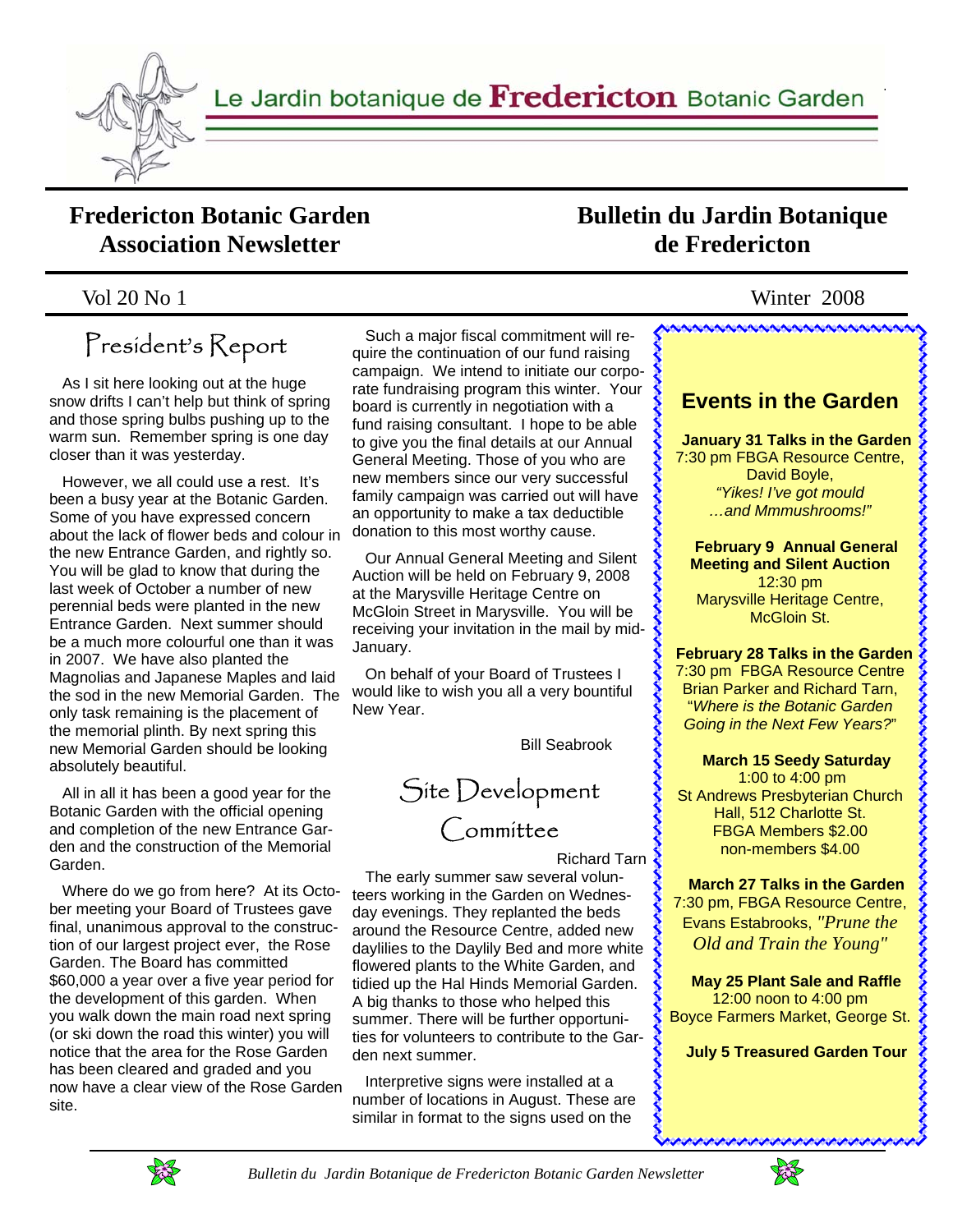

Le Jardin botanique de Fredericton Botanic Garden

## **Fredericton Botanic Garden Association Newsletter**

## **Bulletin du Jardin Botanique de Fredericton**

### Vol 20 No 1 Winter 2008

# President's Report

 As I sit here looking out at the huge snow drifts I can't help but think of spring and those spring bulbs pushing up to the warm sun. Remember spring is one day closer than it was yesterday.

 However, we all could use a rest. It's been a busy year at the Botanic Garden. Some of you have expressed concern about the lack of flower beds and colour in the new Entrance Garden, and rightly so. You will be glad to know that during the last week of October a number of new perennial beds were planted in the new Entrance Garden. Next summer should be a much more colourful one than it was in 2007. We have also planted the Magnolias and Japanese Maples and laid the sod in the new Memorial Garden. The only task remaining is the placement of the memorial plinth. By next spring this new Memorial Garden should be looking absolutely beautiful.

 All in all it has been a good year for the Botanic Garden with the official opening and completion of the new Entrance Garden and the construction of the Memorial Garden.

 Where do we go from here? At its October meeting your Board of Trustees gave final, unanimous approval to the construction of our largest project ever, the Rose Garden. The Board has committed \$60,000 a year over a five year period for the development of this garden. When you walk down the main road next spring (or ski down the road this winter) you will notice that the area for the Rose Garden has been cleared and graded and you now have a clear view of the Rose Garden site.

 Such a major fiscal commitment will require the continuation of our fund raising campaign. We intend to initiate our corporate fundraising program this winter. Your board is currently in negotiation with a fund raising consultant. I hope to be able to give you the final details at our Annual General Meeting. Those of you who are new members since our very successful family campaign was carried out will have an opportunity to make a tax deductible donation to this most worthy cause.

 Our Annual General Meeting and Silent Auction will be held on February 9, 2008 at the Marysville Heritage Centre on McGloin Street in Marysville. You will be receiving your invitation in the mail by mid-January.

 On behalf of your Board of Trustees I would like to wish you all a very bountiful New Year.

Bill Seabrook

Site Development Committee

Richard Tarn

 The early summer saw several volunteers working in the Garden on Wednesday evenings. They replanted the beds around the Resource Centre, added new daylilies to the Daylily Bed and more white flowered plants to the White Garden, and tidied up the Hal Hinds Memorial Garden. A big thanks to those who helped this summer. There will be further opportunities for volunteers to contribute to the Garden next summer.

 Interpretive signs were installed at a number of locations in August. These are similar in format to the signs used on the

## **Events in the Garden January 31 Talks in the Garden**  7:30 pm FBGA Resource Centre,

,,,,,,,,,,,,,,,,,,,,,,,,,,,,,,,,,,,

David Boyle, *"Yikes! I've got mould …and Mmmushrooms!"*  くききききききききききききき

くくくくくくくくくくくくくくくくくくくくくくくくくくく

 **February 9 Annual General Meeting and Silent Auction**  12:30 pm Marysville Heritage Centre, McGloin St.

#### **February 28 Talks in the Garden**

7:30 pm FBGA Resource Centre Brian Parker and Richard Tarn, "*Where is the Botanic Garden Going in the Next Few Years?*"

#### **March 15 Seedy Saturday**

 1:00 to 4:00 pm St Andrews Presbyterian Church Hall, 512 Charlotte St. FBGA Members \$2.00 non-members \$4.00

 **March 27 Talks in the Garden**  7:30 pm, FBGA Resource Centre, Evans Estabrooks, *"Prune the Old and Train the Young"* 

 **May 25 Plant Sale and Raffle**  12:00 noon to 4:00 pm Boyce Farmers Market, George St.

 **July 5 Treasured Garden Tour** 



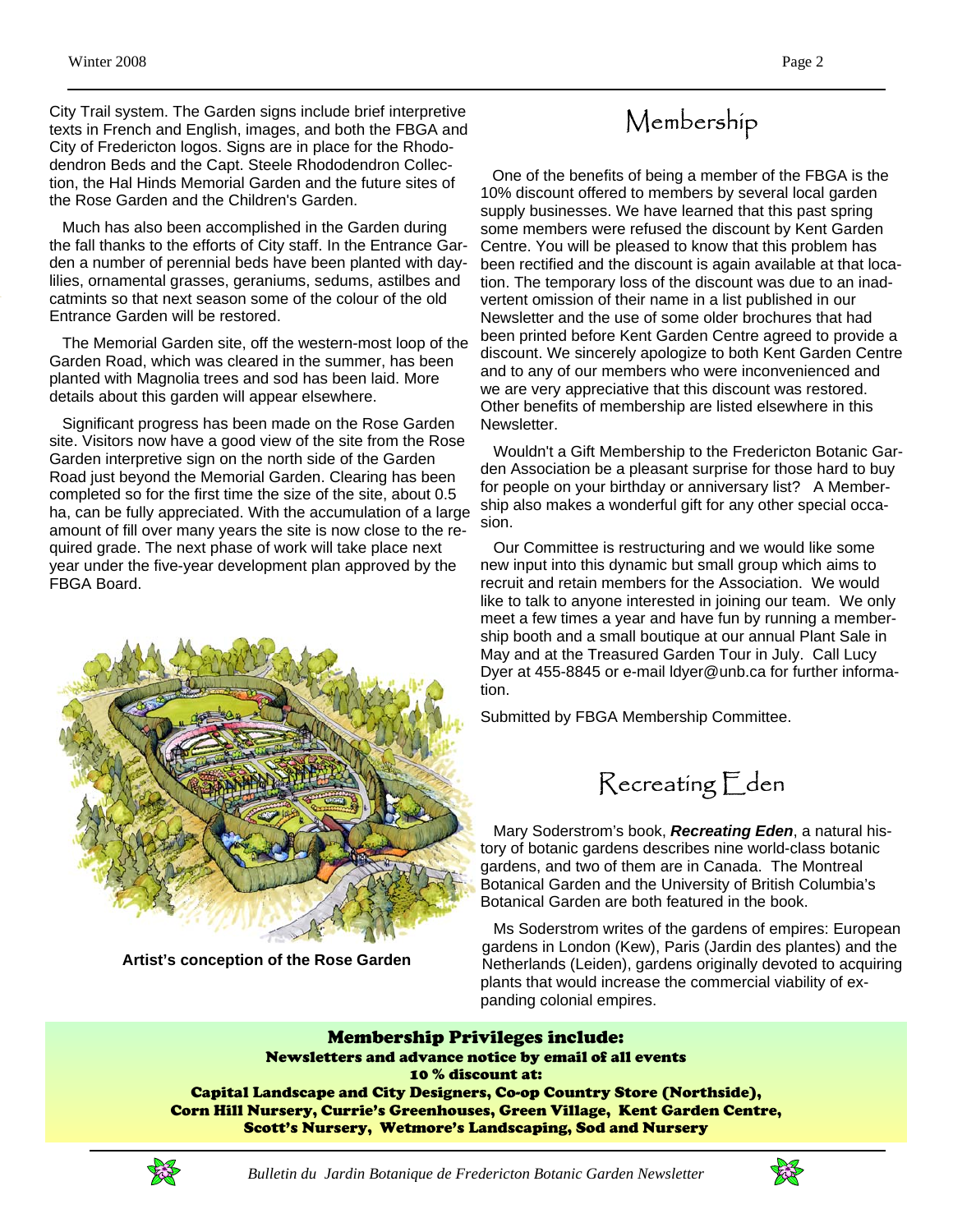City Trail system. The Garden signs include brief interpretive texts in French and English, images, and both the FBGA and City of Fredericton logos. Signs are in place for the Rhododendron Beds and the Capt. Steele Rhododendron Collection, the Hal Hinds Memorial Garden and the future sites of the Rose Garden and the Children's Garden.

 Much has also been accomplished in the Garden during the fall thanks to the efforts of City staff. In the Entrance Garden a number of perennial beds have been planted with daylilies, ornamental grasses, geraniums, sedums, astilbes and catmints so that next season some of the colour of the old Entrance Garden will be restored.

 The Memorial Garden site, off the western-most loop of the Garden Road, which was cleared in the summer, has been planted with Magnolia trees and sod has been laid. More details about this garden will appear elsewhere.

 Significant progress has been made on the Rose Garden site. Visitors now have a good view of the site from the Rose Garden interpretive sign on the north side of the Garden Road just beyond the Memorial Garden. Clearing has been completed so for the first time the size of the site, about 0.5 ha, can be fully appreciated. With the accumulation of a large amount of fill over many years the site is now close to the required grade. The next phase of work will take place next year under the five-year development plan approved by the FBGA Board.



**Artist's conception of the Rose Garden** 

# Membership

 One of the benefits of being a member of the FBGA is the 10% discount offered to members by several local garden supply businesses. We have learned that this past spring some members were refused the discount by Kent Garden Centre. You will be pleased to know that this problem has been rectified and the discount is again available at that location. The temporary loss of the discount was due to an inadvertent omission of their name in a list published in our Newsletter and the use of some older brochures that had been printed before Kent Garden Centre agreed to provide a discount. We sincerely apologize to both Kent Garden Centre and to any of our members who were inconvenienced and we are very appreciative that this discount was restored. Other benefits of membership are listed elsewhere in this Newsletter.

 Wouldn't a Gift Membership to the Fredericton Botanic Garden Association be a pleasant surprise for those hard to buy for people on your birthday or anniversary list? A Membership also makes a wonderful gift for any other special occasion.

 Our Committee is restructuring and we would like some new input into this dynamic but small group which aims to recruit and retain members for the Association. We would like to talk to anyone interested in joining our team. We only meet a few times a year and have fun by running a membership booth and a small boutique at our annual Plant Sale in May and at the Treasured Garden Tour in July. Call Lucy Dyer at 455-8845 or e-mail ldyer@unb.ca for further information.

Submitted by FBGA Membership Committee.



 Mary Soderstrom's book, *Recreating Eden*, a natural history of botanic gardens describes nine world-class botanic gardens, and two of them are in Canada. The Montreal Botanical Garden and the University of British Columbia's Botanical Garden are both featured in the book.

 Ms Soderstrom writes of the gardens of empires: European gardens in London (Kew), Paris (Jardin des plantes) and the Netherlands (Leiden), gardens originally devoted to acquiring plants that would increase the commercial viability of expanding colonial empires.

Membership Privileges include: Newsletters and advance notice by email of all events 10 % discount at: Capital Landscape and City Designers, Co-op Country Store (Northside), Corn Hill Nursery, Currie's Greenhouses, Green Village, Kent Garden Centre, Scott's Nursery, Wetmore's Landscaping, Sod and Nursery

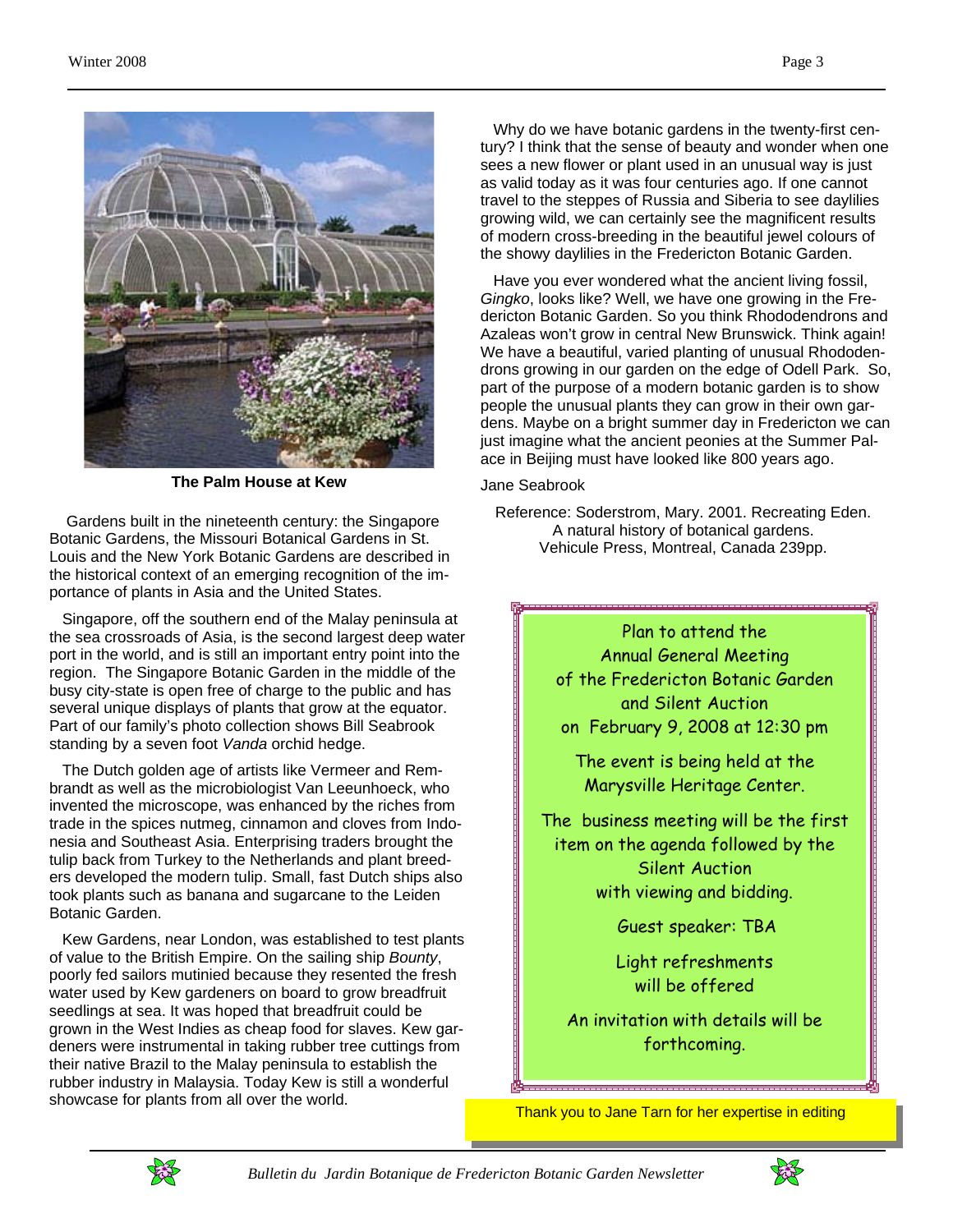

**The Palm House at Kew** 

 Gardens built in the nineteenth century: the Singapore Botanic Gardens, the Missouri Botanical Gardens in St. Louis and the New York Botanic Gardens are described in the historical context of an emerging recognition of the importance of plants in Asia and the United States.

 Singapore, off the southern end of the Malay peninsula at the sea crossroads of Asia, is the second largest deep water port in the world, and is still an important entry point into the region. The Singapore Botanic Garden in the middle of the busy city-state is open free of charge to the public and has several unique displays of plants that grow at the equator. Part of our family's photo collection shows Bill Seabrook standing by a seven foot *Vanda* orchid hedge.

 The Dutch golden age of artists like Vermeer and Rembrandt as well as the microbiologist Van Leeunhoeck, who invented the microscope, was enhanced by the riches from trade in the spices nutmeg, cinnamon and cloves from Indonesia and Southeast Asia. Enterprising traders brought the tulip back from Turkey to the Netherlands and plant breeders developed the modern tulip. Small, fast Dutch ships also took plants such as banana and sugarcane to the Leiden Botanic Garden.

 Kew Gardens, near London, was established to test plants of value to the British Empire. On the sailing ship *Bounty*, poorly fed sailors mutinied because they resented the fresh water used by Kew gardeners on board to grow breadfruit seedlings at sea. It was hoped that breadfruit could be grown in the West Indies as cheap food for slaves. Kew gardeners were instrumental in taking rubber tree cuttings from their native Brazil to the Malay peninsula to establish the rubber industry in Malaysia. Today Kew is still a wonderful showcase for plants from all over the world.

 Why do we have botanic gardens in the twenty-first century? I think that the sense of beauty and wonder when one sees a new flower or plant used in an unusual way is just as valid today as it was four centuries ago. If one cannot travel to the steppes of Russia and Siberia to see daylilies growing wild, we can certainly see the magnificent results of modern cross-breeding in the beautiful jewel colours of the showy daylilies in the Fredericton Botanic Garden.

 Have you ever wondered what the ancient living fossil, *Gingko*, looks like? Well, we have one growing in the Fredericton Botanic Garden. So you think Rhododendrons and Azaleas won't grow in central New Brunswick. Think again! We have a beautiful, varied planting of unusual Rhododendrons growing in our garden on the edge of Odell Park. So, part of the purpose of a modern botanic garden is to show people the unusual plants they can grow in their own gardens. Maybe on a bright summer day in Fredericton we can just imagine what the ancient peonies at the Summer Palace in Beijing must have looked like 800 years ago.

#### Jane Seabrook

Reference: Soderstrom, Mary. 2001. Recreating Eden. A natural history of botanical gardens. Vehicule Press, Montreal, Canada 239pp.

> Plan to attend the Annual General Meeting of the Fredericton Botanic Garden and Silent Auction on February 9, 2008 at 12:30 pm

The event is being held at the Marysville Heritage Center.

The business meeting will be the first item on the agenda followed by the Silent Auction with viewing and bidding.

Guest speaker: TBA

Light refreshments will be offered

An invitation with details will be forthcoming.

Thank you to Jane Tarn for her expertise in editing